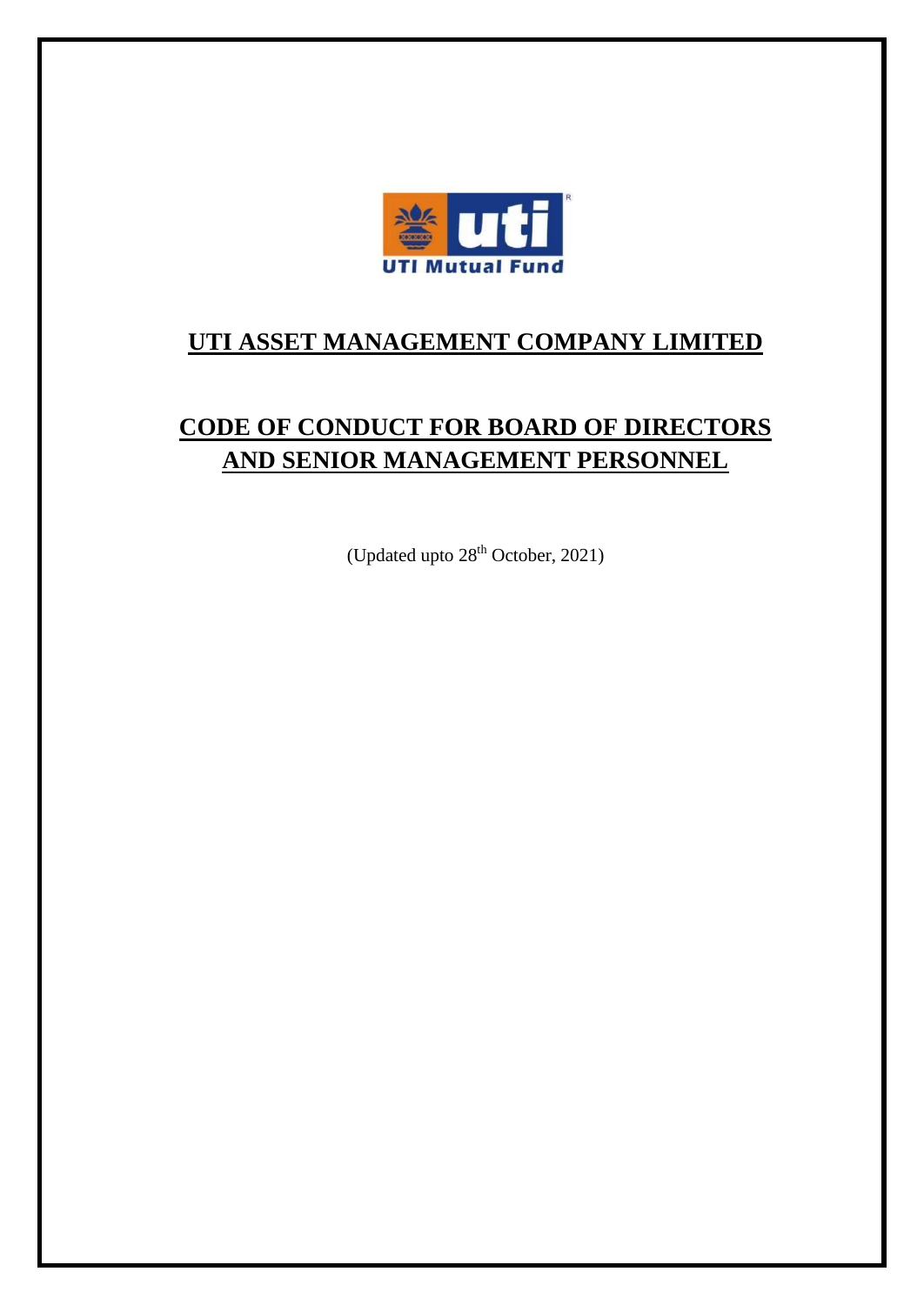

# **UTI ASSET MANAGEMENT COMPANY LIMITED**

# **CODE OF CONDUCT FOR BOARD OF DIRECTORS AND SENIOR MANAGEMENT PERSONNEL**

(Updated upto 28<sup>th</sup> October, 2021)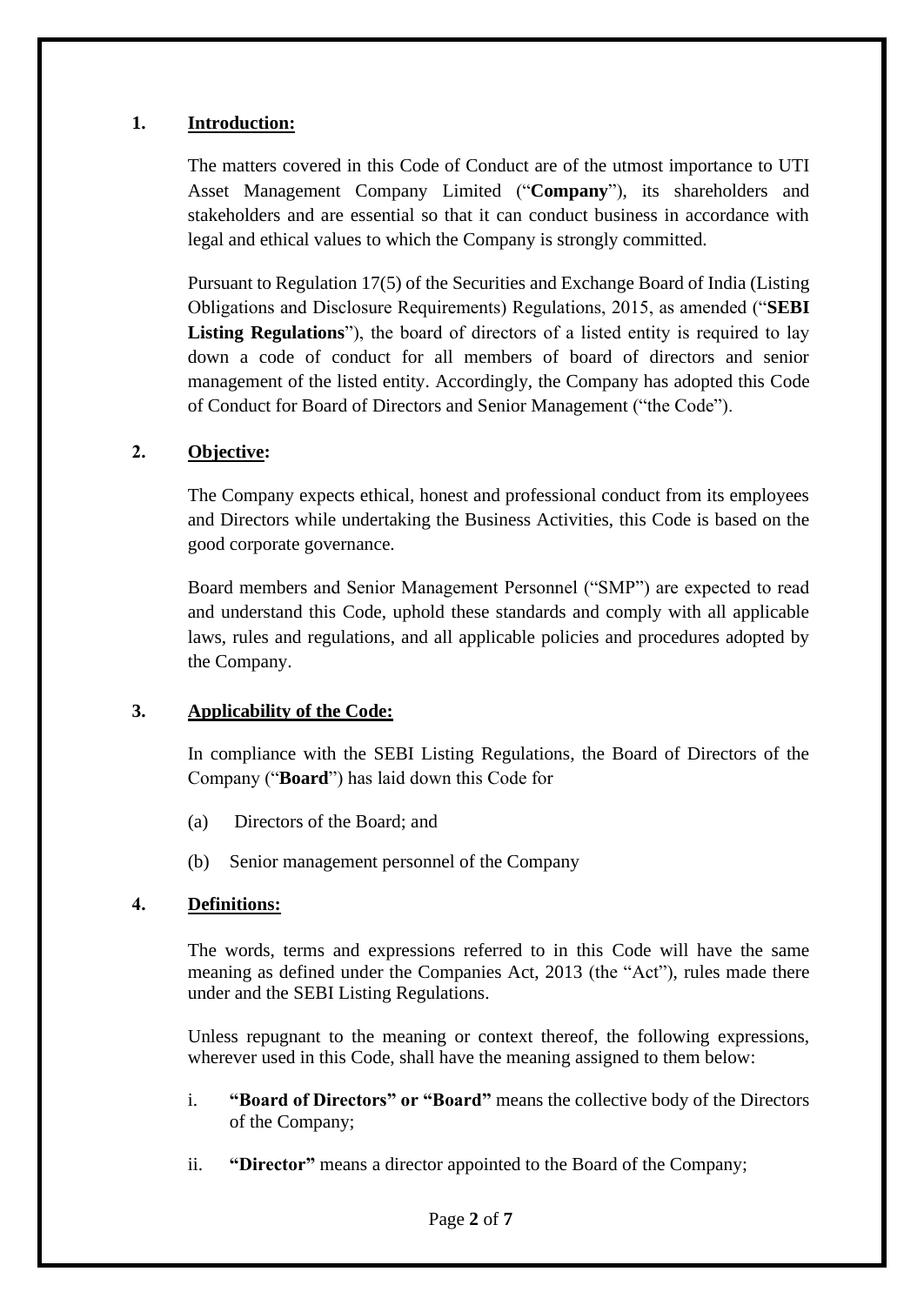## **1. Introduction:**

The matters covered in this Code of Conduct are of the utmost importance to UTI Asset Management Company Limited ("**Company**"), its shareholders and stakeholders and are essential so that it can conduct business in accordance with legal and ethical values to which the Company is strongly committed.

Pursuant to Regulation 17(5) of the Securities and Exchange Board of India (Listing Obligations and Disclosure Requirements) Regulations, 2015, as amended ("**SEBI** Listing **Regulations**"), the board of directors of a listed entity is required to lay down a code of conduct for all members of board of directors and senior management of the listed entity. Accordingly, the Company has adopted this Code of Conduct for Board of Directors and Senior Management ("the Code").

## **2. Objective:**

The Company expects ethical, honest and professional conduct from its employees and Directors while undertaking the Business Activities, this Code is based on the good corporate governance.

Board members and Senior Management Personnel ("SMP") are expected to read and understand this Code, uphold these standards and comply with all applicable laws, rules and regulations, and all applicable policies and procedures adopted by the Company.

# **3. Applicability of the Code:**

In compliance with the SEBI Listing Regulations, the Board of Directors of the Company ("**Board**") has laid down this Code for

- (a) Directors of the Board; and
- (b) Senior management personnel of the Company

#### **4. Definitions:**

The words, terms and expressions referred to in this Code will have the same meaning as defined under the Companies Act, 2013 (the "Act"), rules made there under and the SEBI Listing Regulations.

Unless repugnant to the meaning or context thereof, the following expressions, wherever used in this Code, shall have the meaning assigned to them below:

- i. **"Board of Directors" or "Board"** means the collective body of the Directors of the Company;
- ii. **"Director"** means a director appointed to the Board of the Company;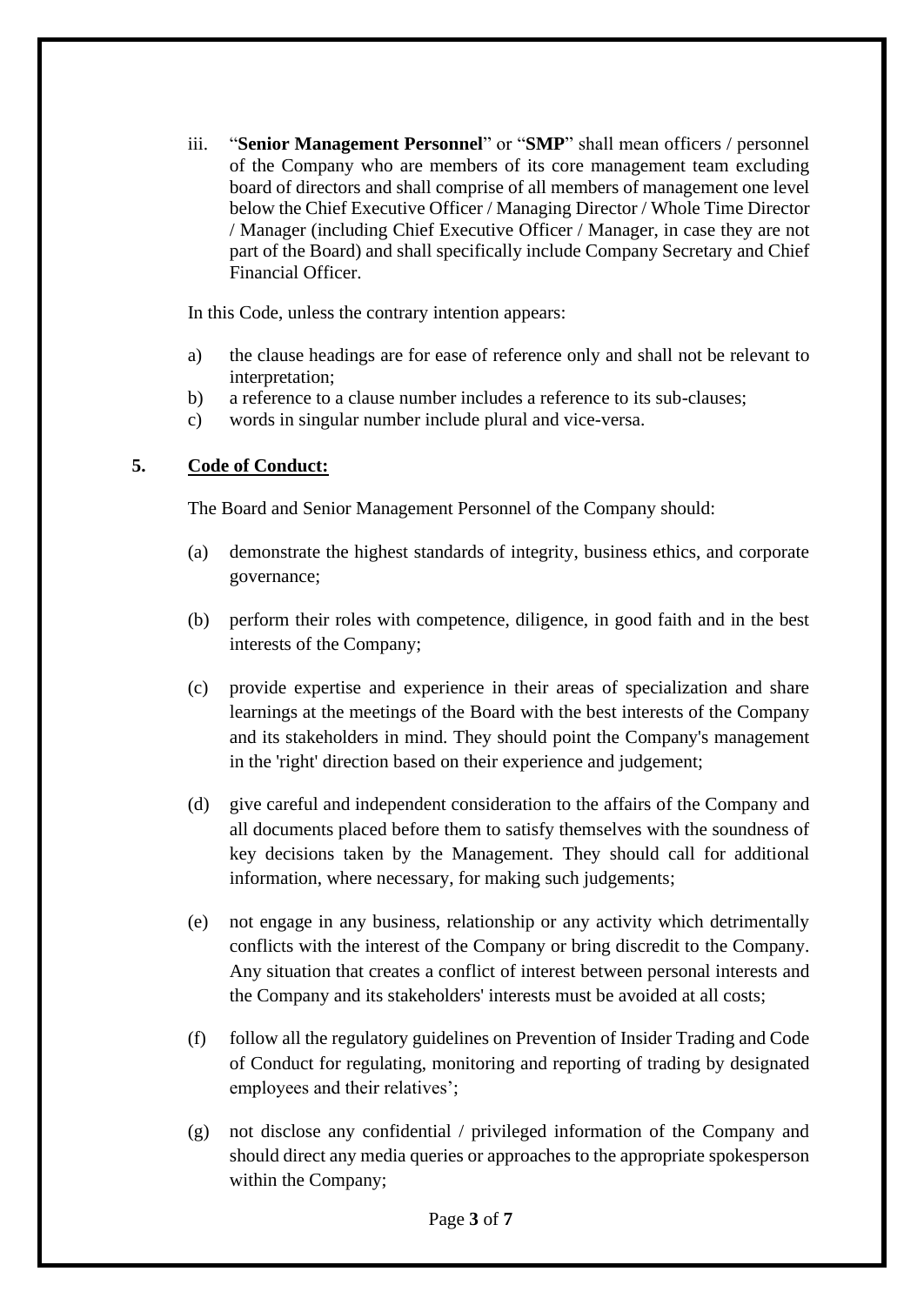iii. "**Senior Management Personnel**" or "**SMP**" shall mean officers / personnel of the Company who are members of its core management team excluding board of directors and shall comprise of all members of management one level below the Chief Executive Officer / Managing Director / Whole Time Director / Manager (including Chief Executive Officer / Manager, in case they are not part of the Board) and shall specifically include Company Secretary and Chief Financial Officer.

In this Code, unless the contrary intention appears:

- a) the clause headings are for ease of reference only and shall not be relevant to interpretation;
- b) a reference to a clause number includes a reference to its sub-clauses;
- c) words in singular number include plural and vice-versa.

## **5. Code of Conduct:**

The Board and Senior Management Personnel of the Company should:

- (a) demonstrate the highest standards of integrity, business ethics, and corporate governance;
- (b) perform their roles with competence, diligence, in good faith and in the best interests of the Company;
- (c) provide expertise and experience in their areas of specialization and share learnings at the meetings of the Board with the best interests of the Company and its stakeholders in mind. They should point the Company's management in the 'right' direction based on their experience and judgement;
- (d) give careful and independent consideration to the affairs of the Company and all documents placed before them to satisfy themselves with the soundness of key decisions taken by the Management. They should call for additional information, where necessary, for making such judgements;
- (e) not engage in any business, relationship or any activity which detrimentally conflicts with the interest of the Company or bring discredit to the Company. Any situation that creates a conflict of interest between personal interests and the Company and its stakeholders' interests must be avoided at all costs;
- (f) follow all the regulatory guidelines on Prevention of Insider Trading and Code of Conduct for regulating, monitoring and reporting of trading by designated employees and their relatives';
- (g) not disclose any confidential / privileged information of the Company and should direct any media queries or approaches to the appropriate spokesperson within the Company;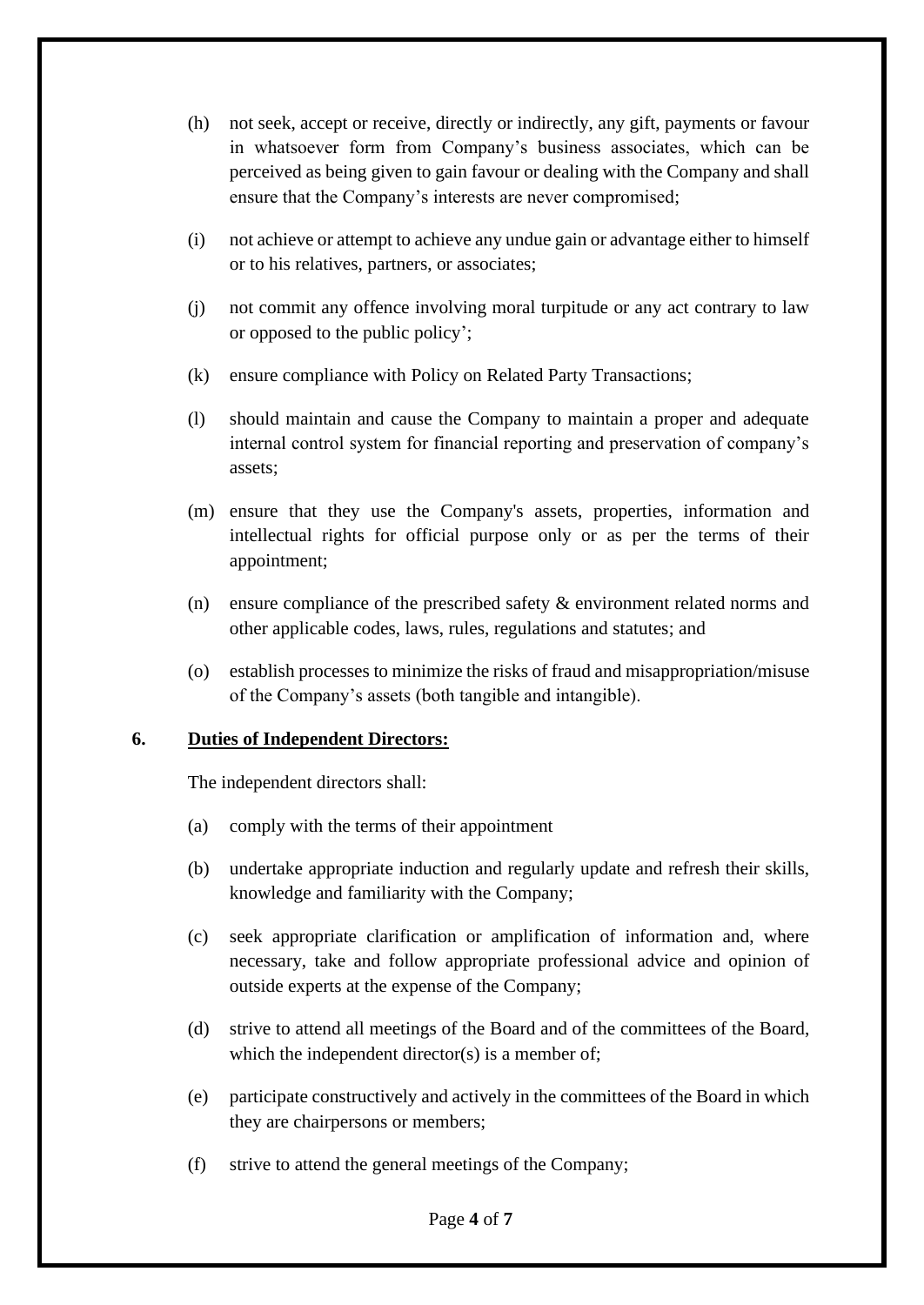- (h) not seek, accept or receive, directly or indirectly, any gift, payments or favour in whatsoever form from Company's business associates, which can be perceived as being given to gain favour or dealing with the Company and shall ensure that the Company's interests are never compromised;
- (i) not achieve or attempt to achieve any undue gain or advantage either to himself or to his relatives, partners, or associates;
- (j) not commit any offence involving moral turpitude or any act contrary to law or opposed to the public policy';
- (k) ensure compliance with Policy on Related Party Transactions;
- (l) should maintain and cause the Company to maintain a proper and adequate internal control system for financial reporting and preservation of company's assets;
- (m) ensure that they use the Company's assets, properties, information and intellectual rights for official purpose only or as per the terms of their appointment;
- (n) ensure compliance of the prescribed safety & environment related norms and other applicable codes, laws, rules, regulations and statutes; and
- (o) establish processes to minimize the risks of fraud and misappropriation/misuse of the Company's assets (both tangible and intangible).

#### **6. Duties of Independent Directors:**

The independent directors shall:

- (a) comply with the terms of their appointment
- (b) undertake appropriate induction and regularly update and refresh their skills, knowledge and familiarity with the Company;
- (c) seek appropriate clarification or amplification of information and, where necessary, take and follow appropriate professional advice and opinion of outside experts at the expense of the Company;
- (d) strive to attend all meetings of the Board and of the committees of the Board, which the independent director(s) is a member of;
- (e) participate constructively and actively in the committees of the Board in which they are chairpersons or members;
- (f) strive to attend the general meetings of the Company;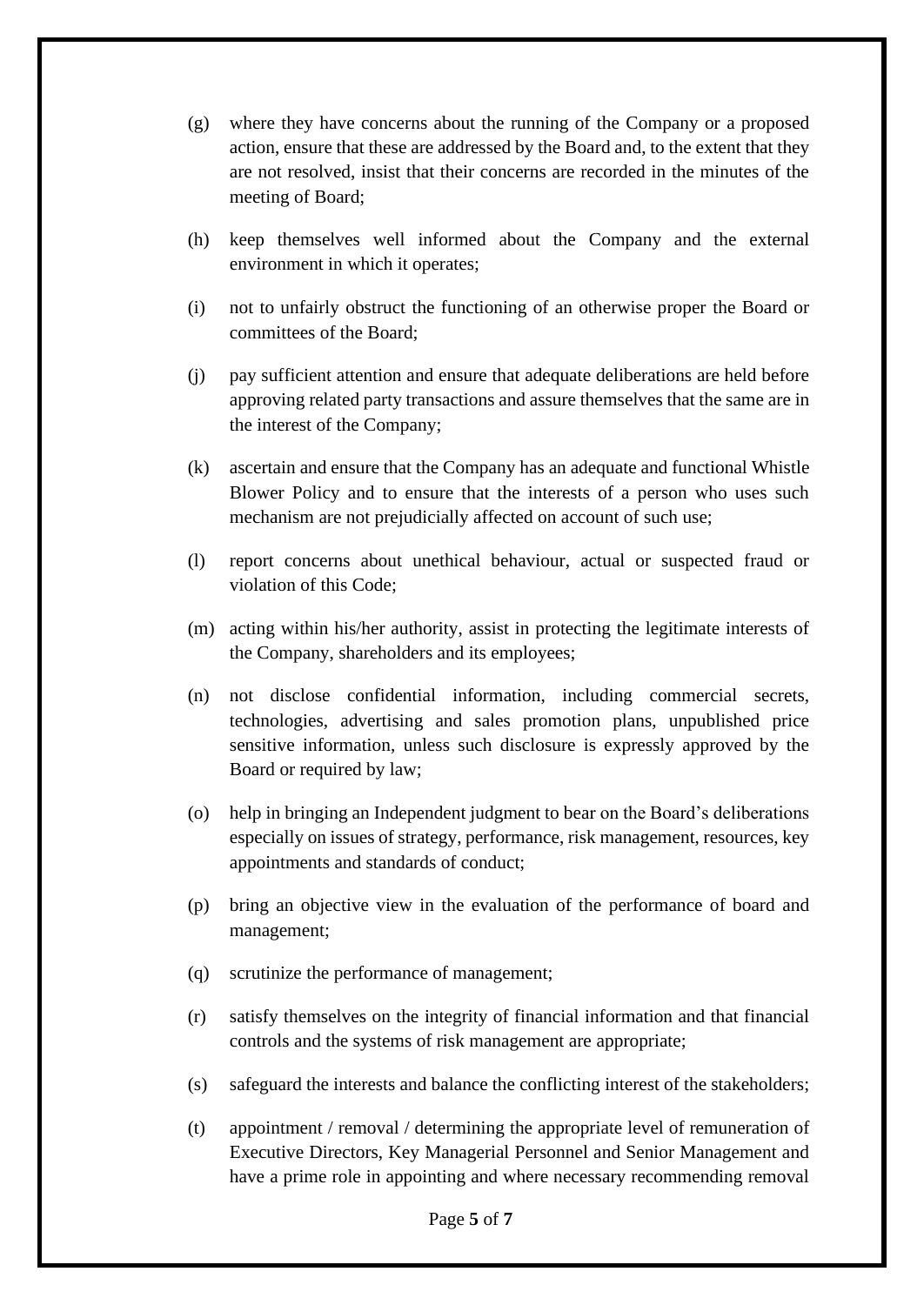- (g) where they have concerns about the running of the Company or a proposed action, ensure that these are addressed by the Board and, to the extent that they are not resolved, insist that their concerns are recorded in the minutes of the meeting of Board;
- (h) keep themselves well informed about the Company and the external environment in which it operates;
- (i) not to unfairly obstruct the functioning of an otherwise proper the Board or committees of the Board;
- (j) pay sufficient attention and ensure that adequate deliberations are held before approving related party transactions and assure themselves that the same are in the interest of the Company;
- (k) ascertain and ensure that the Company has an adequate and functional Whistle Blower Policy and to ensure that the interests of a person who uses such mechanism are not prejudicially affected on account of such use;
- (l) report concerns about unethical behaviour, actual or suspected fraud or violation of this Code;
- (m) acting within his/her authority, assist in protecting the legitimate interests of the Company, shareholders and its employees;
- (n) not disclose confidential information, including commercial secrets, technologies, advertising and sales promotion plans, unpublished price sensitive information, unless such disclosure is expressly approved by the Board or required by law;
- (o) help in bringing an Independent judgment to bear on the Board's deliberations especially on issues of strategy, performance, risk management, resources, key appointments and standards of conduct;
- (p) bring an objective view in the evaluation of the performance of board and management;
- (q) scrutinize the performance of management;
- (r) satisfy themselves on the integrity of financial information and that financial controls and the systems of risk management are appropriate;
- (s) safeguard the interests and balance the conflicting interest of the stakeholders;
- (t) appointment / removal / determining the appropriate level of remuneration of Executive Directors, Key Managerial Personnel and Senior Management and have a prime role in appointing and where necessary recommending removal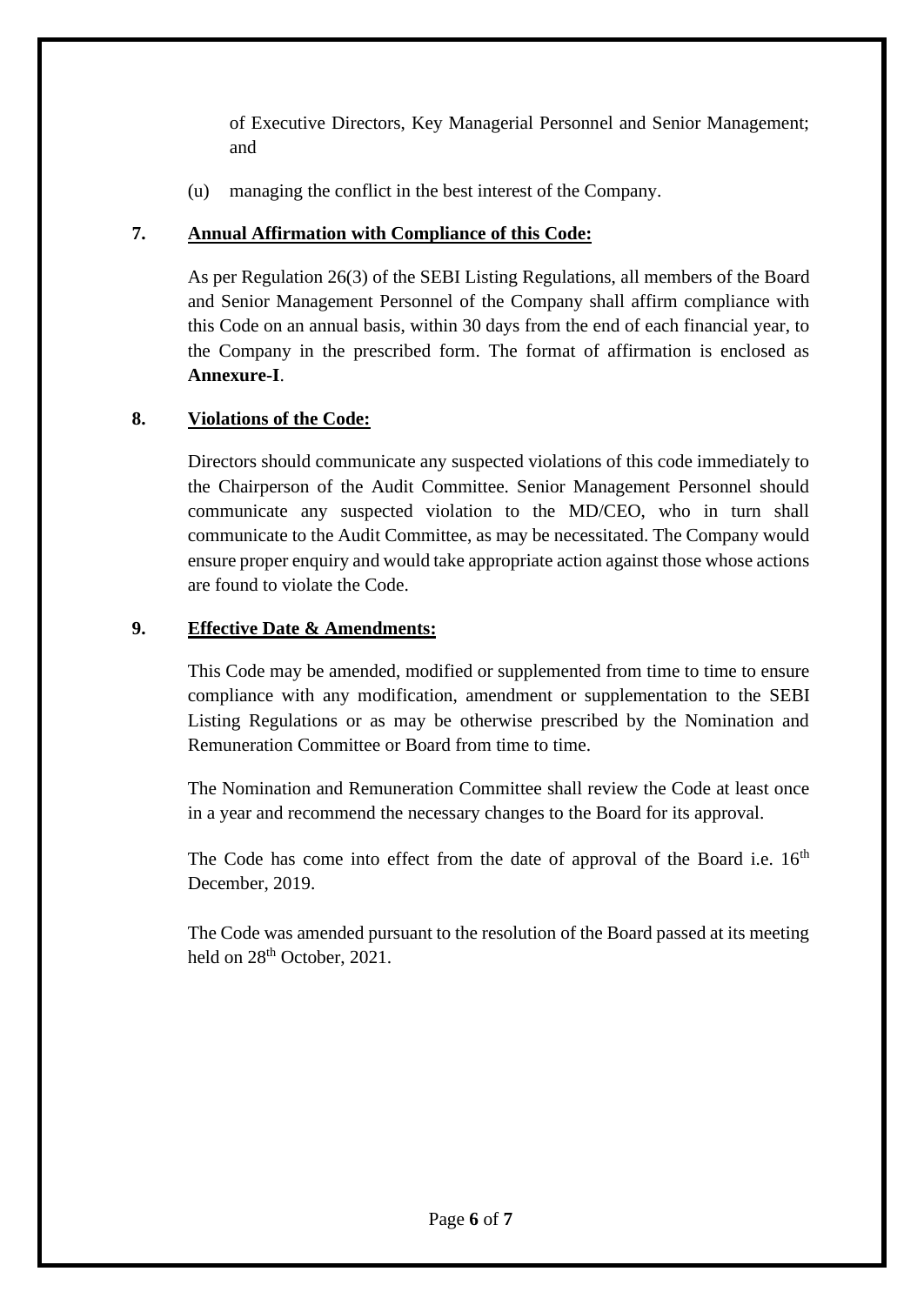of Executive Directors, Key Managerial Personnel and Senior Management; and

(u) managing the conflict in the best interest of the Company.

# **7. Annual Affirmation with Compliance of this Code:**

As per Regulation 26(3) of the SEBI Listing Regulations, all members of the Board and Senior Management Personnel of the Company shall affirm compliance with this Code on an annual basis, within 30 days from the end of each financial year, to the Company in the prescribed form. The format of affirmation is enclosed as **Annexure-I**.

# **8. Violations of the Code:**

Directors should communicate any suspected violations of this code immediately to the Chairperson of the Audit Committee. Senior Management Personnel should communicate any suspected violation to the MD/CEO, who in turn shall communicate to the Audit Committee, as may be necessitated. The Company would ensure proper enquiry and would take appropriate action against those whose actions are found to violate the Code.

# **9. Effective Date & Amendments:**

This Code may be amended, modified or supplemented from time to time to ensure compliance with any modification, amendment or supplementation to the SEBI Listing Regulations or as may be otherwise prescribed by the Nomination and Remuneration Committee or Board from time to time.

The Nomination and Remuneration Committee shall review the Code at least once in a year and recommend the necessary changes to the Board for its approval.

The Code has come into effect from the date of approval of the Board i.e.  $16<sup>th</sup>$ December, 2019.

The Code was amended pursuant to the resolution of the Board passed at its meeting held on 28<sup>th</sup> October, 2021.